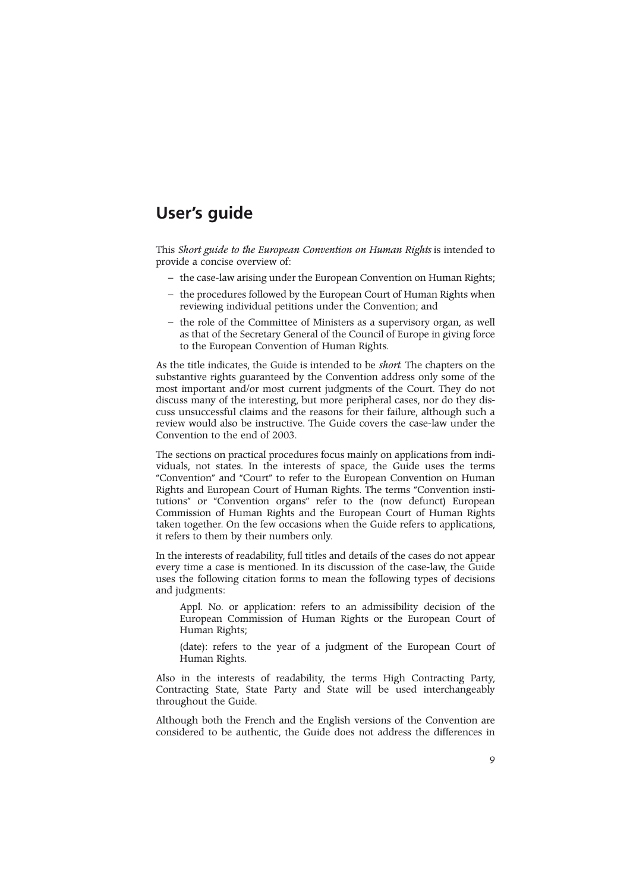## **User's guide**

This *Short guide to the European Convention on Human Rights* is intended to provide a concise overview of:

- the case-law arising under the European Convention on Human Rights;
- the procedures followed by the European Court of Human Rights when reviewing individual petitions under the Convention; and
- the role of the Committee of Ministers as a supervisory organ, as well as that of the Secretary General of the Council of Europe in giving force to the European Convention of Human Rights.

As the title indicates, the Guide is intended to be *short*. The chapters on the substantive rights guaranteed by the Convention address only some of the most important and/or most current judgments of the Court. They do not discuss many of the interesting, but more peripheral cases, nor do they discuss unsuccessful claims and the reasons for their failure, although such a review would also be instructive. The Guide covers the case-law under the Convention to the end of 2003.

The sections on practical procedures focus mainly on applications from individuals, not states. In the interests of space, the Guide uses the terms "Convention" and "Court" to refer to the European Convention on Human Rights and European Court of Human Rights. The terms "Convention institutions" or "Convention organs" refer to the (now defunct) European Commission of Human Rights and the European Court of Human Rights taken together. On the few occasions when the Guide refers to applications, it refers to them by their numbers only.

In the interests of readability, full titles and details of the cases do not appear every time a case is mentioned. In its discussion of the case-law, the Guide uses the following citation forms to mean the following types of decisions and judgments:

Appl. No. or application: refers to an admissibility decision of the European Commission of Human Rights or the European Court of Human Rights;

(date): refers to the year of a judgment of the European Court of Human Rights.

Also in the interests of readability, the terms High Contracting Party, Contracting State, State Party and State will be used interchangeably throughout the Guide.

Although both the French and the English versions of the Convention are considered to be authentic, the Guide does not address the differences in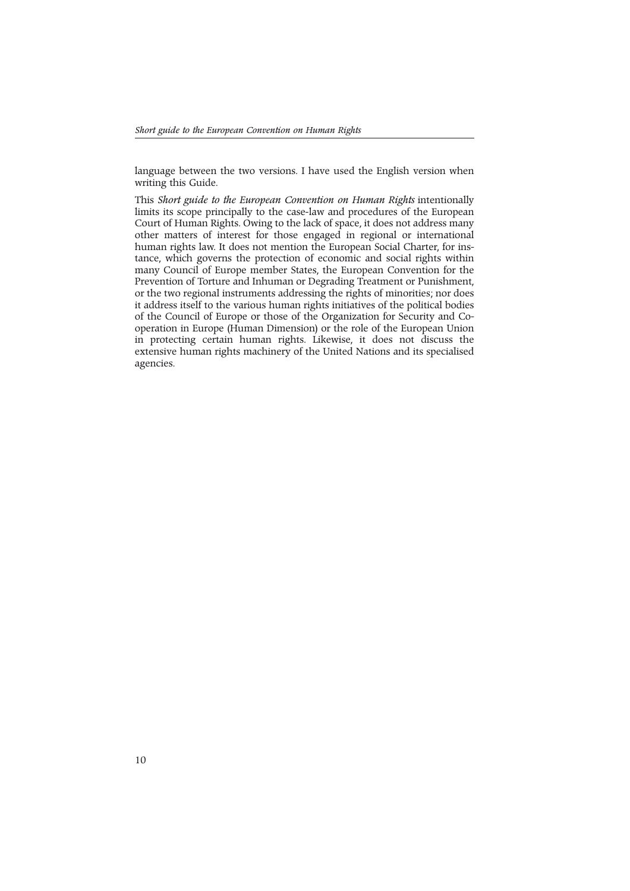language between the two versions. I have used the English version when writing this Guide.

This *Short guide to the European Convention on Human Rights* intentionally limits its scope principally to the case-law and procedures of the European Court of Human Rights. Owing to the lack of space, it does not address many other matters of interest for those engaged in regional or international human rights law. It does not mention the European Social Charter, for instance, which governs the protection of economic and social rights within many Council of Europe member States, the European Convention for the Prevention of Torture and Inhuman or Degrading Treatment or Punishment, or the two regional instruments addressing the rights of minorities; nor does it address itself to the various human rights initiatives of the political bodies of the Council of Europe or those of the Organization for Security and Cooperation in Europe (Human Dimension) or the role of the European Union in protecting certain human rights. Likewise, it does not discuss the extensive human rights machinery of the United Nations and its specialised agencies.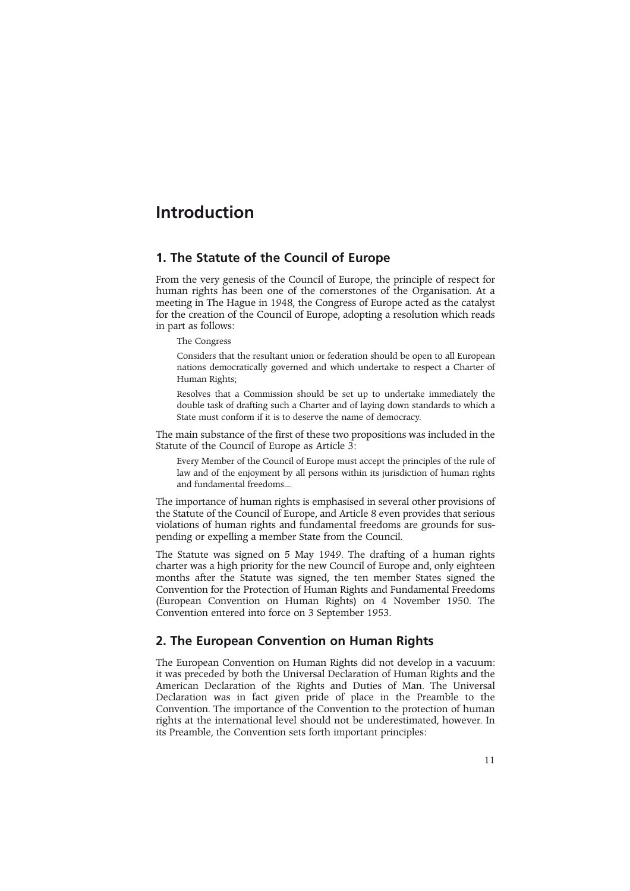## **Introduction**

## **1. The Statute of the Council of Europe**

From the very genesis of the Council of Europe, the principle of respect for human rights has been one of the cornerstones of the Organisation. At a meeting in The Hague in 1948, the Congress of Europe acted as the catalyst for the creation of the Council of Europe, adopting a resolution which reads in part as follows:

The Congress

Considers that the resultant union or federation should be open to all European nations democratically governed and which undertake to respect a Charter of Human Rights;

Resolves that a Commission should be set up to undertake immediately the double task of drafting such a Charter and of laying down standards to which a State must conform if it is to deserve the name of democracy.

The main substance of the first of these two propositions was included in the Statute of the Council of Europe as Article 3:

Every Member of the Council of Europe must accept the principles of the rule of law and of the enjoyment by all persons within its jurisdiction of human rights and fundamental freedoms....

The importance of human rights is emphasised in several other provisions of the Statute of the Council of Europe, and Article 8 even provides that serious violations of human rights and fundamental freedoms are grounds for suspending or expelling a member State from the Council.

The Statute was signed on 5 May 1949. The drafting of a human rights charter was a high priority for the new Council of Europe and, only eighteen months after the Statute was signed, the ten member States signed the Convention for the Protection of Human Rights and Fundamental Freedoms (European Convention on Human Rights) on 4 November 1950. The Convention entered into force on 3 September 1953.

## **2. The European Convention on Human Rights**

The European Convention on Human Rights did not develop in a vacuum: it was preceded by both the Universal Declaration of Human Rights and the American Declaration of the Rights and Duties of Man. The Universal Declaration was in fact given pride of place in the Preamble to the Convention. The importance of the Convention to the protection of human rights at the international level should not be underestimated, however. In its Preamble, the Convention sets forth important principles: